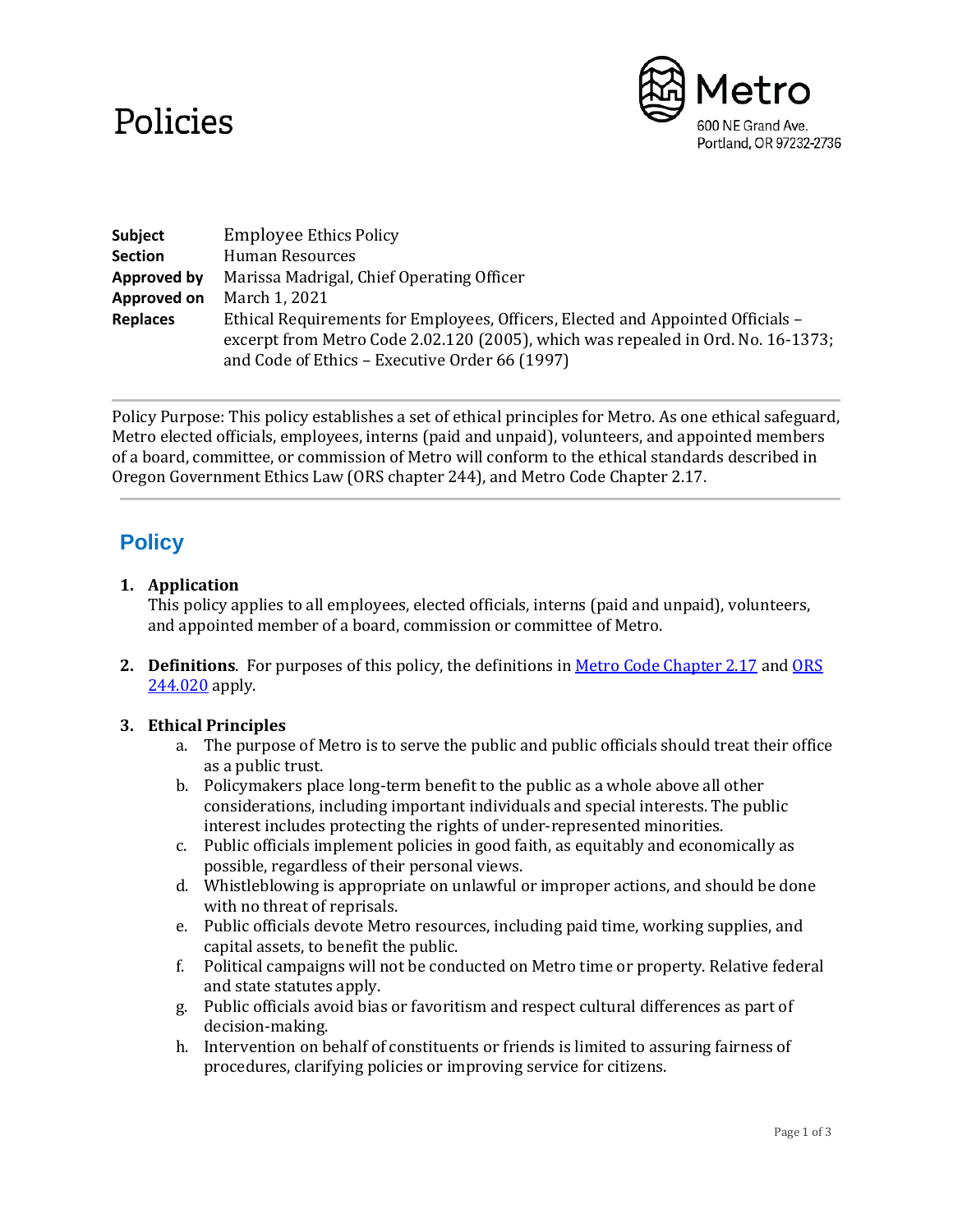# Policies



| Subject            | <b>Employee Ethics Policy</b>                                                                                                                                                                                         |
|--------------------|-----------------------------------------------------------------------------------------------------------------------------------------------------------------------------------------------------------------------|
| <b>Section</b>     | Human Resources                                                                                                                                                                                                       |
| <b>Approved by</b> | Marissa Madrigal, Chief Operating Officer                                                                                                                                                                             |
| Approved on        | March 1, 2021                                                                                                                                                                                                         |
| <b>Replaces</b>    | Ethical Requirements for Employees, Officers, Elected and Appointed Officials -<br>excerpt from Metro Code 2.02.120 (2005), which was repealed in Ord. No. 16-1373;<br>and Code of Ethics - Executive Order 66 (1997) |

Policy Purpose: This policy establishes a set of ethical principles for Metro. As one ethical safeguard, Metro elected officials, employees, interns (paid and unpaid), volunteers, and appointed members of a board, committee, or commission of Metro will conform to the ethical standards described in Oregon Government Ethics Law (ORS chapter 244), and Metro Code Chapter 2.17.

## **Policy**

#### **1. Application**

This policy applies to all employees, elected officials, interns (paid and unpaid), volunteers, and appointed member of a board, commission or committee of Metro.

**2. Definitions**. For purposes of this policy, the definitions i[n Metro Code Chapter 2.17](https://www.oregonmetro.gov/sites/default/files/2015/01/29/Metro%20Code%20Chapter%202%2017%202014%20Update.PDF) an[d ORS](https://www.oregonlegislature.gov/bills_laws/ors/ors244.html)  [244.020](https://www.oregonlegislature.gov/bills_laws/ors/ors244.html) apply.

#### **3. Ethical Principles**

- a. The purpose of Metro is to serve the public and public officials should treat their office as a public trust.
- b. Policymakers place long-term benefit to the public as a whole above all other considerations, including important individuals and special interests. The public interest includes protecting the rights of under-represented minorities.
- c. Public officials implement policies in good faith, as equitably and economically as possible, regardless of their personal views.
- d. Whistleblowing is appropriate on unlawful or improper actions, and should be done with no threat of reprisals.
- e. Public officials devote Metro resources, including paid time, working supplies, and capital assets, to benefit the public.
- f. Political campaigns will not be conducted on Metro time or property. Relative federal and state statutes apply.
- g. Public officials avoid bias or favoritism and respect cultural differences as part of decision-making.
- h. Intervention on behalf of constituents or friends is limited to assuring fairness of procedures, clarifying policies or improving service for citizens.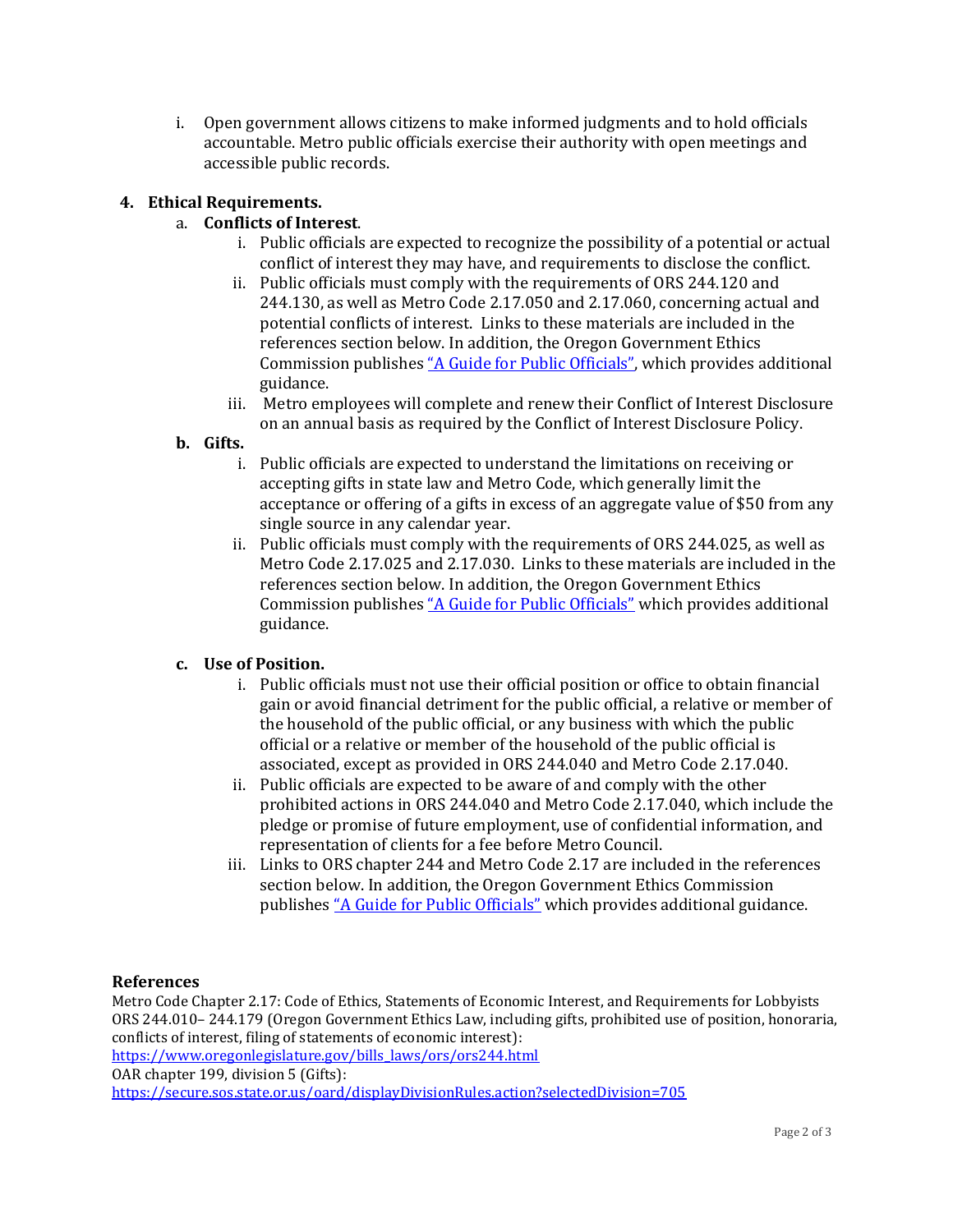i. Open government allows citizens to make informed judgments and to hold officials accountable. Metro public officials exercise their authority with open meetings and accessible public records.

#### **4. Ethical Requirements.**

### a. **Conflicts of Interest**.

- i. Public officials are expected to recognize the possibility of a potential or actual conflict of interest they may have, and requirements to disclose the conflict.
- ii. Public officials must comply with the requirements of ORS 244.120 and 244.130, as well as Metro Code 2.17.050 and 2.17.060, concerning actual and potential conflicts of interest. Links to these materials are included in the references section below. In addition, the Oregon Government Ethics Commission publishes ["A Guide for Public Officials"](https://www.oregon.gov/ogec/Pages/Guide-for-Public-Officials.aspx), which provides additional guidance.
- iii. Metro employees will complete and renew their Conflict of Interest Disclosure on an annual basis as required by the Conflict of Interest Disclosure Policy.

#### **b. Gifts.**

- i. Public officials are expected to understand the limitations on receiving or accepting gifts in state law and Metro Code, which generally limit the acceptance or offering of a gifts in excess of an aggregate value of \$50 from any single source in any calendar year.
- ii. Public officials must comply with the requirements of ORS 244.025, as well as Metro Code 2.17.025 and 2.17.030. Links to these materials are included in the references section below. In addition, the Oregon Government Ethics Commission publishes *["A Guide for Public Officials"](https://www.oregon.gov/ogec/Pages/Guide-for-Public-Officials.aspx)* which provides additional guidance.

#### **c. Use of Position.**

- i. Public officials must not use their official position or office to obtain financial gain or avoid financial detriment for the public official, a relative or member of the household of the public official, or any business with which the public official or a relative or member of the household of the public official is associated, except as provided in ORS 244.040 and Metro Code 2.17.040.
- ii. Public officials are expected to be aware of and comply with the other prohibited actions in ORS 244.040 and Metro Code 2.17.040, which include the pledge or promise of future employment, use of confidential information, and representation of clients for a fee before Metro Council.
- iii. Links to ORS chapter 244 and Metro Code 2.17 are included in the references section below. In addition, the Oregon Government Ethics Commission publishes ["A Guide for Public Officials"](https://www.oregon.gov/ogec/Pages/Guide-for-Public-Officials.aspx) which provides additional guidance.

#### **References**

Metro Code Chapter 2.17: Code of Ethics, Statements of Economic Interest, and Requirements for Lobbyists ORS 244.010– 244.179 (Oregon Government Ethics Law, including gifts, prohibited use of position, honoraria, conflicts of interest, filing of statements of economic interest):

[https://www.oregonlegislature.gov/bills\\_laws/ors/ors244.html](https://www.oregonlegislature.gov/bills_laws/ors/ors244.html) OAR chapter 199, division 5 (Gifts):